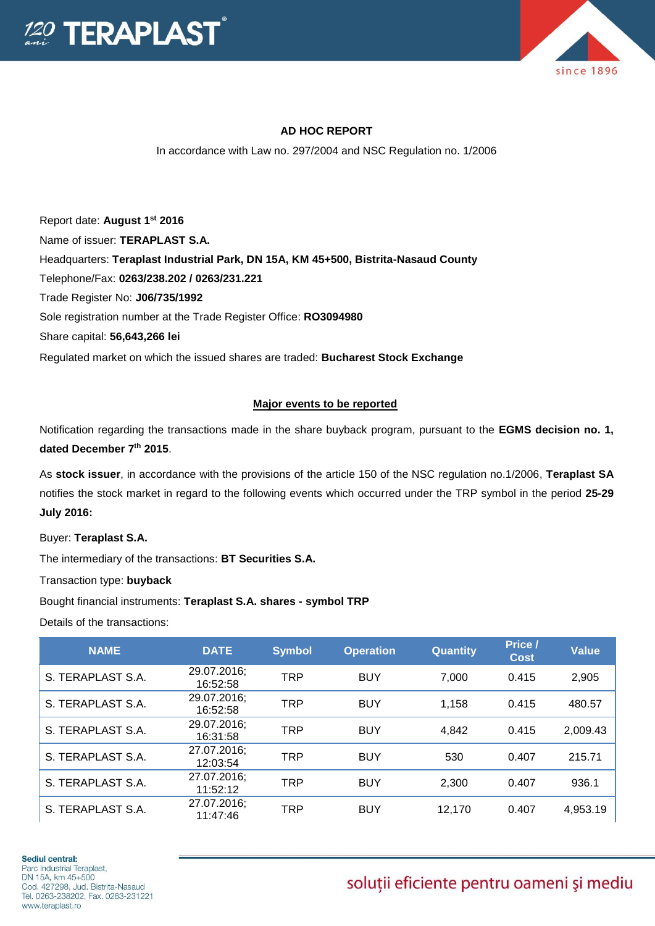



## **AD HOC REPORT**

In accordance with Law no. 297/2004 and NSC Regulation no. 1/2006

Report date: **August 1 st 2016** Name of issuer: **TERAPLAST S.A.**  Headquarters: **Teraplast Industrial Park, DN 15A, KM 45+500, Bistrita-Nasaud County** Telephone/Fax: **0263/238.202 / 0263/231.221** Trade Register No: **J06/735/1992** Sole registration number at the Trade Register Office: **RO3094980** Share capital: **56,643,266 lei**  Regulated market on which the issued shares are traded: **Bucharest Stock Exchange**

## **Major events to be reported**

Notification regarding the transactions made in the share buyback program, pursuant to the **EGMS decision no. 1, dated December 7th 2015**.

As **stock issuer**, in accordance with the provisions of the article 150 of the NSC regulation no.1/2006, **Teraplast SA** notifies the stock market in regard to the following events which occurred under the TRP symbol in the period **25-29 July 2016:**

Buyer: **Teraplast S.A.**

The intermediary of the transactions: **BT Securities S.A.**

Transaction type: **buyback**

Bought financial instruments: **Teraplast S.A. shares - symbol TRP**

Details of the transactions:

| <b>NAME</b>       | <b>DATE</b>             | <b>Symbol</b> | <b>Operation</b> | <b>Quantity</b> | Price /<br><b>Cost</b> | <b>Value</b> |
|-------------------|-------------------------|---------------|------------------|-----------------|------------------------|--------------|
| S. TERAPLAST S.A. | 29.07.2016;<br>16:52:58 | <b>TRP</b>    | <b>BUY</b>       | 7,000           | 0.415                  | 2,905        |
| S. TERAPLAST S.A. | 29.07.2016;<br>16:52:58 | <b>TRP</b>    | <b>BUY</b>       | 1,158           | 0.415                  | 480.57       |
| S. TERAPLAST S.A. | 29.07.2016;<br>16:31:58 | <b>TRP</b>    | <b>BUY</b>       | 4.842           | 0.415                  | 2,009.43     |
| S. TERAPLAST S.A. | 27.07.2016:<br>12:03:54 | <b>TRP</b>    | <b>BUY</b>       | 530             | 0.407                  | 215.71       |
| S. TERAPLAST S.A. | 27.07.2016;<br>11:52:12 | <b>TRP</b>    | <b>BUY</b>       | 2.300           | 0.407                  | 936.1        |
| S. TERAPLAST S.A. | 27.07.2016;<br>11:47:46 | <b>TRP</b>    | <b>BUY</b>       | 12.170          | 0.407                  | 4,953.19     |

## soluții eficiente pentru oameni și mediu